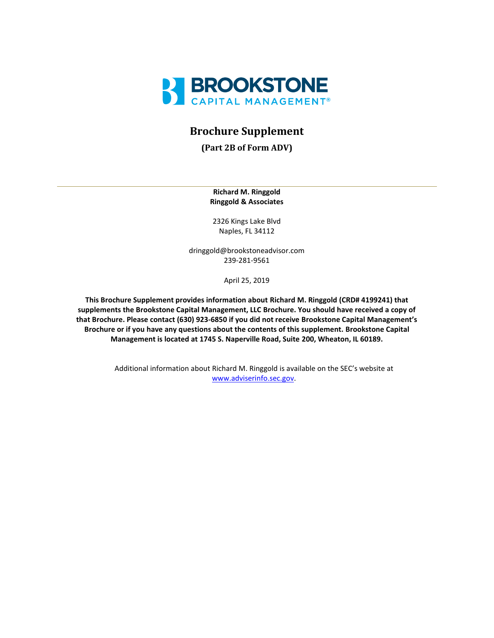

# **Brochure Supplement**

**(Part 2B of Form ADV)**

**Richard M. Ringgold Ringgold & Associates**

2326 Kings Lake Blvd Naples, FL 34112

dringgold@brookstoneadvisor.com 239-281-9561

April 25, 2019

**This Brochure Supplement provides information about Richard M. Ringgold (CRD# 4199241) that supplements the Brookstone Capital Management, LLC Brochure. You should have received a copy of that Brochure. Please contact (630) 923-6850 if you did not receive Brookstone Capital Management's Brochure or if you have any questions about the contents of this supplement. Brookstone Capital Management is located at 1745 S. Naperville Road, Suite 200, Wheaton, IL 60189.**

> Additional information about Richard M. Ringgold is available on the SEC's website at [www.adviserinfo.sec.gov.](http://www.adviserinfo.sec.gov/)